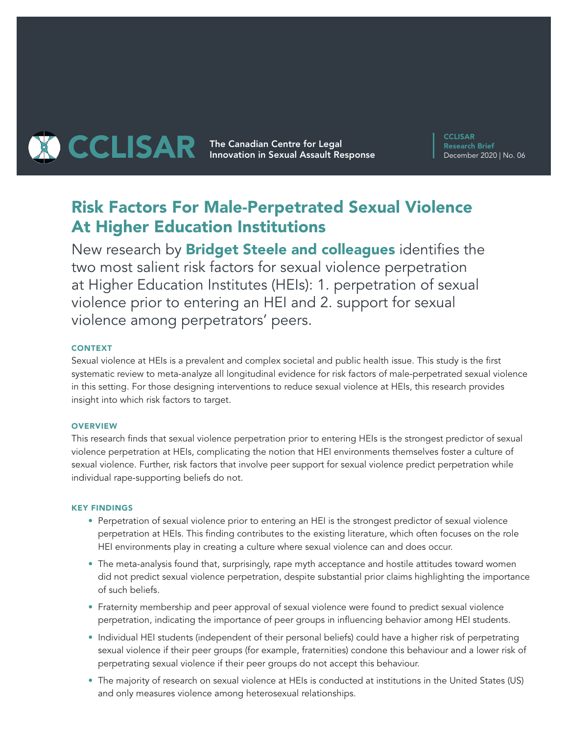

**THE CAR The Canadian Centre for Legal CCLISAR** Innovation in Sexual Assault Response

**CCLISAR** Research Brief December 2020 | No. 06

# Risk Factors For Male-Perpetrated Sexual Violence At Higher Education Institutions

New research by **Bridget Steele and colleagues** identifies the two most salient risk factors for sexual violence perpetration at Higher Education Institutes (HEIs): 1. perpetration of sexual violence prior to entering an HEI and 2. support for sexual violence among perpetrators' peers.

### CONTEXT

Sexual violence at HEIs is a prevalent and complex societal and public health issue. This study is the first systematic review to meta-analyze all longitudinal evidence for risk factors of male-perpetrated sexual violence in this setting. For those designing interventions to reduce sexual violence at HEIs, this research provides insight into which risk factors to target.

#### **OVERVIEW**

This research finds that sexual violence perpetration prior to entering HEIs is the strongest predictor of sexual violence perpetration at HEIs, complicating the notion that HEI environments themselves foster a culture of sexual violence. Further, risk factors that involve peer support for sexual violence predict perpetration while individual rape-supporting beliefs do not.

#### KEY FINDINGS

- Perpetration of sexual violence prior to entering an HEI is the strongest predictor of sexual violence perpetration at HEIs. This finding contributes to the existing literature, which often focuses on the role HEI environments play in creating a culture where sexual violence can and does occur.
- The meta-analysis found that, surprisingly, rape myth acceptance and hostile attitudes toward women did not predict sexual violence perpetration, despite substantial prior claims highlighting the importance of such beliefs.
- Fraternity membership and peer approval of sexual violence were found to predict sexual violence perpetration, indicating the importance of peer groups in influencing behavior among HEI students.
- Individual HEI students (independent of their personal beliefs) could have a higher risk of perpetrating sexual violence if their peer groups (for example, fraternities) condone this behaviour and a lower risk of perpetrating sexual violence if their peer groups do not accept this behaviour.
- The majority of research on sexual violence at HEIs is conducted at institutions in the United States (US) and only measures violence among heterosexual relationships.